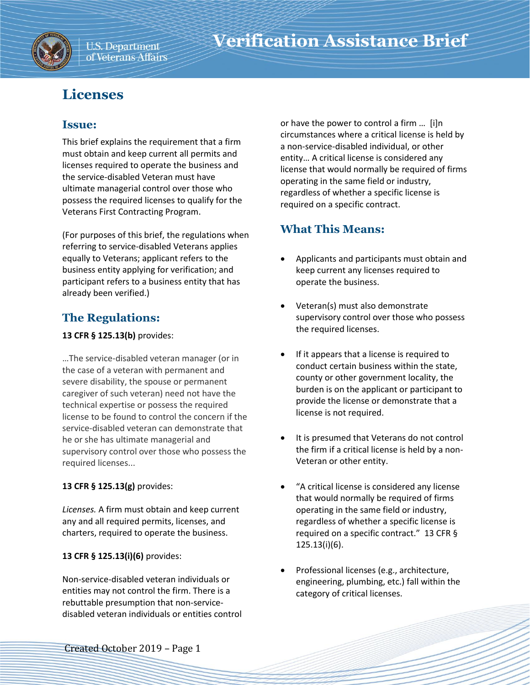

# **Licenses**

### **Issue:**

This brief explains the requirement that a firm must obtain and keep current all permits and licenses required to operate the business and the service-disabled Veteran must have ultimate managerial control over those who possess the required licenses to qualify for the Veterans First Contracting Program.

(For purposes of this brief, the regulations when referring to service-disabled Veterans applies equally to Veterans; applicant refers to the business entity applying for verification; and participant refers to a business entity that has already been verified.)

## **The Regulations:**

#### **13 CFR § 125.13(b)** provides:

…The service-disabled veteran manager (or in the case of a veteran with permanent and severe disability, the spouse or permanent caregiver of such veteran) need not have the technical expertise or possess the required license to be found to control the concern if the service-disabled veteran can demonstrate that he or she has ultimate managerial and supervisory control over those who possess the required licenses...

### **13 CFR § 125.13(g)** provides:

*Licenses.* A firm must obtain and keep current any and all required permits, licenses, and charters, required to operate the business.

### **13 CFR § 125.13(i)(6)** provides:

Non-service-disabled veteran individuals or entities may not control the firm. There is a rebuttable presumption that non-servicedisabled veteran individuals or entities control or have the power to control a firm … [i]n circumstances where a critical license is held by a non-service-disabled individual, or other entity… A critical license is considered any license that would normally be required of firms operating in the same field or industry, regardless of whether a specific license is required on a specific contract.

### **What This Means:**

- Applicants and participants must obtain and keep current any licenses required to operate the business.
- Veteran(s) must also demonstrate supervisory control over those who possess the required licenses.
- If it appears that a license is required to conduct certain business within the state, county or other government locality, the burden is on the applicant or participant to provide the license or demonstrate that a license is not required.
- It is presumed that Veterans do not control the firm if a critical license is held by a non-Veteran or other entity.
- "A critical license is considered any license that would normally be required of firms operating in the same field or industry, regardless of whether a specific license is required on a specific contract." 13 CFR § 125.13(i)(6).
- Professional licenses (e.g., architecture, engineering, plumbing, etc.) fall within the category of critical licenses.